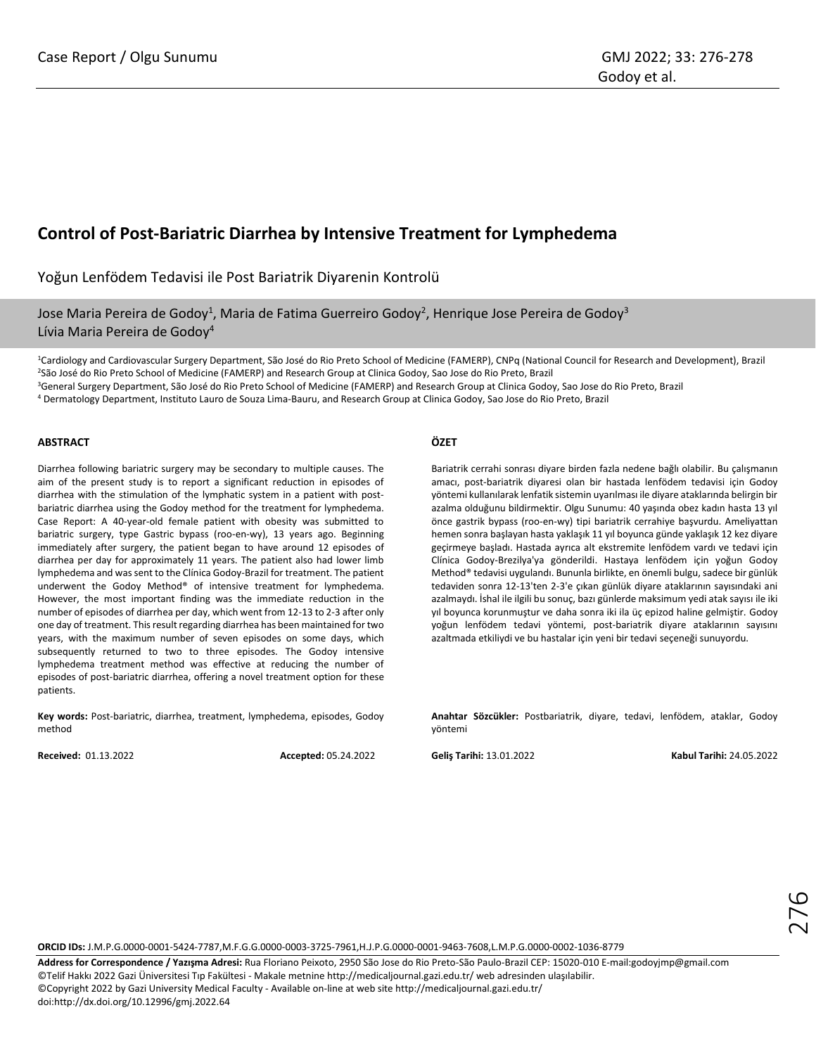# **Control of Post-Bariatric Diarrhea by Intensive Treatment for Lymphedema**

Yoğun Lenfödem Tedavisi ile Post Bariatrik Diyarenin Kontrolü

Jose Maria Pereira de Godoy<sup>1</sup>, Maria de Fatima Guerreiro Godoy<sup>2</sup>, Henrique Jose Pereira de Godoy<sup>3</sup> Lívia Maria Pereira de Godoy<sup>4</sup>

<sup>1</sup>Cardiology and Cardiovascular Surgery Department, São José do Rio Preto School of Medicine (FAMERP), CNPq (National Council for Research and Development), Brazil <sup>2</sup>São José do Rio Preto School of Medicine (FAMERP) and Research Group at Clinica Godoy, Sao Jose do Rio Preto, Brazil

<sup>3</sup>General Surgery Department, São José do Rio Preto School of Medicine (FAMERP) and Research Group at Clinica Godoy, Sao Jose do Rio Preto, Brazil

<sup>4</sup> Dermatology Department, Instituto Lauro de Souza Lima-Bauru, and Research Group at Clinica Godoy, Sao Jose do Rio Preto, Brazil

## **ABSTRACT**

Diarrhea following bariatric surgery may be secondary to multiple causes. The aim of the present study is to report a significant reduction in episodes of diarrhea with the stimulation of the lymphatic system in a patient with postbariatric diarrhea using the Godoy method for the treatment for lymphedema. Case Report: A 40-year-old female patient with obesity was submitted to bariatric surgery, type Gastric bypass (roo-en-wy), 13 years ago. Beginning immediately after surgery, the patient began to have around 12 episodes of diarrhea per day for approximately 11 years. The patient also had lower limb lymphedema and was sent to the Clínica Godoy-Brazil for treatment. The patient underwent the Godoy Method® of intensive treatment for lymphedema. However, the most important finding was the immediate reduction in the number of episodes of diarrhea per day, which went from 12-13 to 2-3 after only one day of treatment. This result regarding diarrhea has been maintained for two years, with the maximum number of seven episodes on some days, which subsequently returned to two to three episodes. The Godoy intensive lymphedema treatment method was effective at reducing the number of episodes of post-bariatric diarrhea, offering a novel treatment option for these patients.

**Key words:** Post-bariatric, diarrhea, treatment, lymphedema, episodes, Godoy method

**Received:** 01.13.2022 **Accepted:** 05.24.2022

## **ÖZET**

Bariatrik cerrahi sonrası diyare birden fazla nedene bağlı olabilir. Bu çalışmanın amacı, post-bariatrik diyaresi olan bir hastada lenfödem tedavisi için Godoy yöntemi kullanılarak lenfatik sistemin uyarılması ile diyare ataklarında belirgin bir azalma olduğunu bildirmektir. Olgu Sunumu: 40 yaşında obez kadın hasta 13 yıl önce gastrik bypass (roo-en-wy) tipi bariatrik cerrahiye başvurdu. Ameliyattan hemen sonra başlayan hasta yaklaşık 11 yıl boyunca günde yaklaşık 12 kez diyare geçirmeye başladı. Hastada ayrıca alt ekstremite lenfödem vardı ve tedavi için Clínica Godoy-Brezilya'ya gönderildi. Hastaya lenfödem için yoğun Godoy Method® tedavisi uygulandı. Bununla birlikte, en önemli bulgu, sadece bir günlük tedaviden sonra 12-13'ten 2-3'e çıkan günlük diyare ataklarının sayısındaki ani azalmaydı. İshal ile ilgili bu sonuç, bazı günlerde maksimum yedi atak sayısı ile iki yıl boyunca korunmuştur ve daha sonra iki ila üç epizod haline gelmiştir. Godoy yoğun lenfödem tedavi yöntemi, post-bariatrik diyare ataklarının sayısını azaltmada etkiliydi ve bu hastalar için yeni bir tedavi seçeneği sunuyordu.

**Anahtar Sözcükler:** Postbariatrik, diyare, tedavi, lenfödem, ataklar, Godoy yöntemi

**Geliş Tarihi:** 13.01.2022 **Kabul Tarihi:** 24.05.2022



**ORCID IDs:** J.M.P.G.0000-0001-5424-7787,M.F.G.G.0000-0003-3725-7961,H.J.P.G.0000-0001-9463-7608,L.M.P.G.0000-0002-1036-8779

**Address for Correspondence / Yazışma Adresi:** Rua Floriano Peixoto, 2950 São Jose do Rio Preto-São Paulo-Brazil CEP: 15020-010 E-mail:godoyjmp@gmail.com ©Telif Hakkı 2022 Gazi Üniversitesi Tıp Fakültesi - Makale metnine http://medicaljournal.gazi.edu.tr/ web adresinden ulaşılabilir. ©Copyright 2022 by Gazi University Medical Faculty - Available on-line at web site http://medicaljournal.gazi.edu.tr/ doi:http://dx.doi.org/10.12996/gmj.2022.64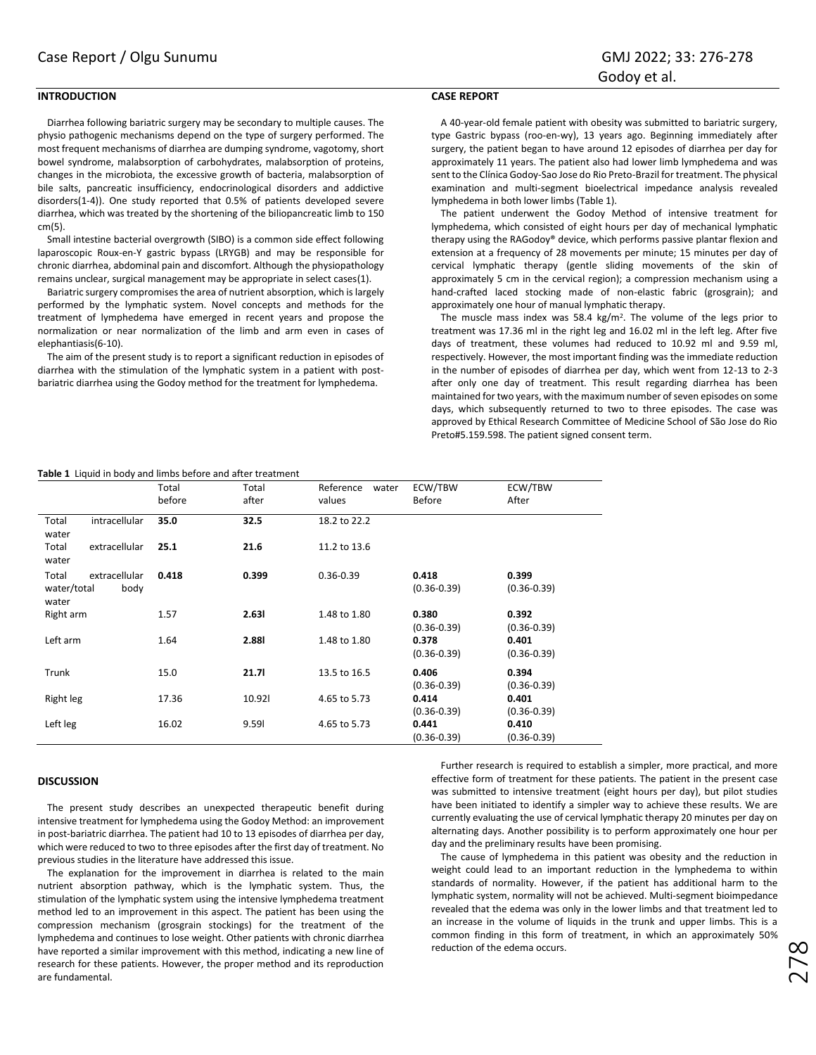## **INTRODUCTION**

## **CASE REPORT**

Diarrhea following bariatric surgery may be secondary to multiple causes. The physio pathogenic mechanisms depend on the type of surgery performed. The most frequent mechanisms of diarrhea are dumping syndrome, vagotomy, short bowel syndrome, malabsorption of carbohydrates, malabsorption of proteins, changes in the microbiota, the excessive growth of bacteria, malabsorption of bile salts, pancreatic insufficiency, endocrinological disorders and addictive disorders(1-4)). One study reported that 0.5% of patients developed severe diarrhea, which was treated by the shortening of the biliopancreatic limb to 150 cm(5).

Small intestine bacterial overgrowth (SIBO) is a common side effect following laparoscopic Roux-en-Y gastric bypass (LRYGB) and may be responsible for chronic diarrhea, abdominal pain and discomfort. Although the physiopathology remains unclear, surgical management may be appropriate in select cases(1).

Bariatric surgery compromises the area of nutrient absorption, which is largely performed by the lymphatic system. Novel concepts and methods for the treatment of lymphedema have emerged in recent years and propose the normalization or near normalization of the limb and arm even in cases of elephantiasis(6-10).

The aim of the present study is to report a significant reduction in episodes of diarrhea with the stimulation of the lymphatic system in a patient with postbariatric diarrhea using the Godoy method for the treatment for lymphedema.

A 40-year-old female patient with obesity was submitted to bariatric surgery, type Gastric bypass (roo-en-wy), 13 years ago. Beginning immediately after surgery, the patient began to have around 12 episodes of diarrhea per day for approximately 11 years. The patient also had lower limb lymphedema and was sent to the Clínica Godoy-Sao Jose do Rio Preto-Brazil for treatment. The physical examination and multi-segment bioelectrical impedance analysis revealed lymphedema in both lower limbs (Table 1).

The patient underwent the Godoy Method of intensive treatment for lymphedema, which consisted of eight hours per day of mechanical lymphatic therapy using the RAGodoy® device, which performs passive plantar flexion and extension at a frequency of 28 movements per minute; 15 minutes per day of cervical lymphatic therapy (gentle sliding movements of the skin of approximately 5 cm in the cervical region); a compression mechanism using a hand-crafted laced stocking made of non-elastic fabric (grosgrain); and approximately one hour of manual lymphatic therapy.

The muscle mass index was 58.4 kg/m<sup>2</sup>. The volume of the legs prior to treatment was 17.36 ml in the right leg and 16.02 ml in the left leg. After five days of treatment, these volumes had reduced to 10.92 ml and 9.59 ml, respectively. However, the most important finding was the immediate reduction in the number of episodes of diarrhea per day, which went from 12-13 to 2-3 after only one day of treatment. This result regarding diarrhea has been maintained for two years, with the maximum number of seven episodes on some days, which subsequently returned to two to three episodes. The case was approved by Ethical Research Committee of Medicine School of São Jose do Rio Preto#5.159.598. The patient signed consent term.

|  |  |  | Table 1 Liquid in body and limbs before and after treatment |  |  |
|--|--|--|-------------------------------------------------------------|--|--|
|--|--|--|-------------------------------------------------------------|--|--|

|                                                        | Total<br>before | Total<br>after | Reference<br>water<br>values | ECW/TBW<br>Before        | ECW/TBW<br>After         |
|--------------------------------------------------------|-----------------|----------------|------------------------------|--------------------------|--------------------------|
| intracellular<br>Total<br>water                        | 35.0            | 32.5           | 18.2 to 22.2                 |                          |                          |
| extracellular<br>Total<br>water                        | 25.1            | 21.6           | 11.2 to 13.6                 |                          |                          |
| Total<br>extracellular<br>water/total<br>body<br>water | 0.418           | 0.399          | $0.36 - 0.39$                | 0.418<br>$(0.36 - 0.39)$ | 0.399<br>$(0.36 - 0.39)$ |
| Right arm                                              | 1.57            | 2.631          | 1.48 to 1.80                 | 0.380<br>$(0.36 - 0.39)$ | 0.392<br>$(0.36 - 0.39)$ |
| Left arm                                               | 1.64            | <b>2.881</b>   | 1.48 to 1.80                 | 0.378<br>$(0.36 - 0.39)$ | 0.401<br>$(0.36 - 0.39)$ |
| Trunk                                                  | 15.0            | 21.71          | 13.5 to 16.5                 | 0.406<br>$(0.36 - 0.39)$ | 0.394<br>$(0.36 - 0.39)$ |
| Right leg                                              | 17.36           | 10.921         | 4.65 to 5.73                 | 0.414<br>$(0.36 - 0.39)$ | 0.401<br>$(0.36 - 0.39)$ |
| Left leg                                               | 16.02           | 9.59           | 4.65 to 5.73                 | 0.441<br>$(0.36 - 0.39)$ | 0.410<br>$(0.36 - 0.39)$ |

#### **DISCUSSION**

The present study describes an unexpected therapeutic benefit during intensive treatment for lymphedema using the Godoy Method: an improvement in post-bariatric diarrhea. The patient had 10 to 13 episodes of diarrhea per day, which were reduced to two to three episodes after the first day of treatment. No previous studies in the literature have addressed this issue.

The explanation for the improvement in diarrhea is related to the main nutrient absorption pathway, which is the lymphatic system. Thus, the stimulation of the lymphatic system using the intensive lymphedema treatment method led to an improvement in this aspect. The patient has been using the compression mechanism (grosgrain stockings) for the treatment of the lymphedema and continues to lose weight. Other patients with chronic diarrhea have reported a similar improvement with this method, indicating a new line of research for these patients. However, the proper method and its reproduction are fundamental.

Further research is required to establish a simpler, more practical, and more effective form of treatment for these patients. The patient in the present case was submitted to intensive treatment (eight hours per day), but pilot studies have been initiated to identify a simpler way to achieve these results. We are currently evaluating the use of cervical lymphatic therapy 20 minutes per day on alternating days. Another possibility is to perform approximately one hour per day and the preliminary results have been promising.

The cause of lymphedema in this patient was obesity and the reduction in weight could lead to an important reduction in the lymphedema to within standards of normality. However, if the patient has additional harm to the lymphatic system, normality will not be achieved. Multi-segment bioimpedance revealed that the edema was only in the lower limbs and that treatment led to an increase in the volume of liquids in the trunk and upper limbs. This is a common finding in this form of treatment, in which an approximately 50% reduction of the edema occurs.

278<br>2